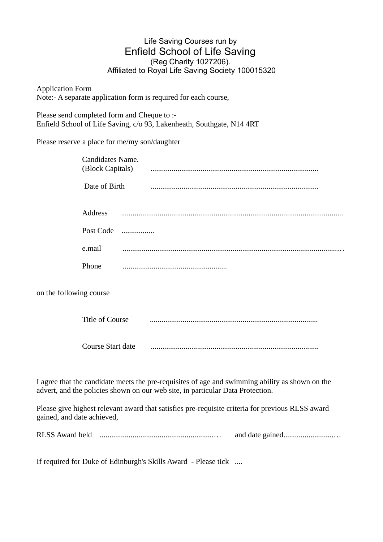## Life Saving Courses run by Enfield School of Life Saving (Reg Charity 1027206). Affiliated to Royal Life Saving Society 100015320

Application Form Note:- A separate application form is required for each course,

Please send completed form and Cheque to :- Enfield School of Life Saving, c/o 93, Lakenheath, Southgate, N14 4RT

Please reserve a place for me/my son/daughter

|                         | Candidates Name.<br>(Block Capitals) |                                                                                                                                                                                   |
|-------------------------|--------------------------------------|-----------------------------------------------------------------------------------------------------------------------------------------------------------------------------------|
|                         | Date of Birth                        |                                                                                                                                                                                   |
|                         | <b>Address</b>                       |                                                                                                                                                                                   |
|                         | Post Code                            |                                                                                                                                                                                   |
|                         | e.mail                               |                                                                                                                                                                                   |
|                         | Phone                                |                                                                                                                                                                                   |
| on the following course |                                      |                                                                                                                                                                                   |
|                         | <b>Title of Course</b>               |                                                                                                                                                                                   |
|                         | Course Start date                    |                                                                                                                                                                                   |
|                         |                                      | I agree that the candidate meets the pre-requisites of age and swimming ability as shown on the<br>advert, and the policies shown on our web site, in particular Data Protection. |

Please give highest relevant award that satisfies pre-requisite criteria for previous RLSS award gained, and date achieved,

RLSS Award held ...........................................................… and date gained..........................…

If required for Duke of Edinburgh's Skills Award - Please tick ....